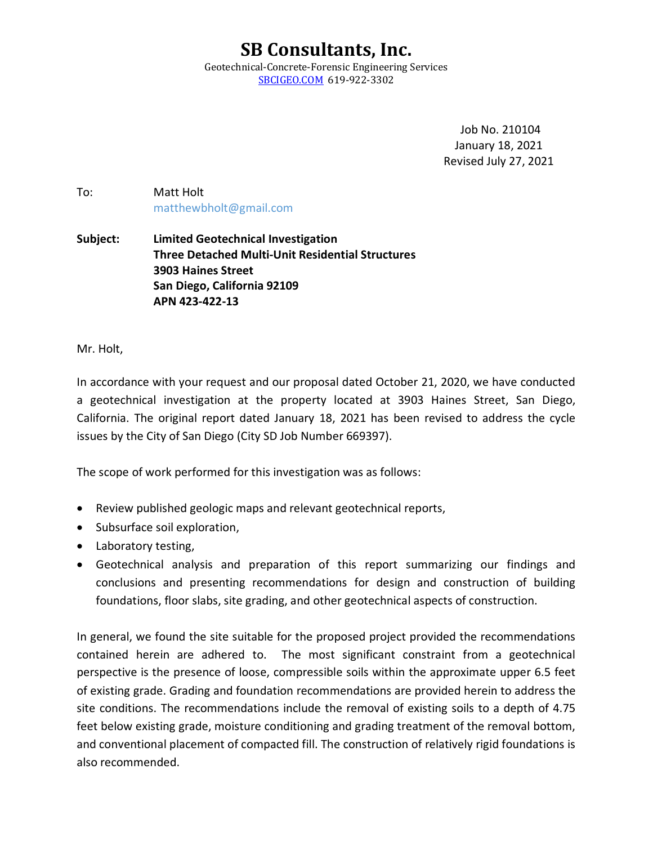**SB Consultants, Inc.**  Geotechnical-Concrete-Forensic Engineering Services SBCIGEO.COM 619-922-3302

> Job No. 210104 January 18, 2021 Revised July 27, 2021

To: Matt Holt matthewbholt@gmail.com

**Subject: Limited Geotechnical Investigation Three Detached Multi-Unit Residential Structures 3903 Haines Street San Diego, California 92109 APN 423-422-13** 

Mr. Holt,

In accordance with your request and our proposal dated October 21, 2020, we have conducted a geotechnical investigation at the property located at 3903 Haines Street, San Diego, California. The original report dated January 18, 2021 has been revised to address the cycle issues by the City of San Diego (City SD Job Number 669397).

The scope of work performed for this investigation was as follows:

- Review published geologic maps and relevant geotechnical reports,
- Subsurface soil exploration,
- Laboratory testing,
- Geotechnical analysis and preparation of this report summarizing our findings and conclusions and presenting recommendations for design and construction of building foundations, floor slabs, site grading, and other geotechnical aspects of construction.

In general, we found the site suitable for the proposed project provided the recommendations contained herein are adhered to. The most significant constraint from a geotechnical perspective is the presence of loose, compressible soils within the approximate upper 6.5 feet of existing grade. Grading and foundation recommendations are provided herein to address the site conditions. The recommendations include the removal of existing soils to a depth of 4.75 feet below existing grade, moisture conditioning and grading treatment of the removal bottom, and conventional placement of compacted fill. The construction of relatively rigid foundations is also recommended.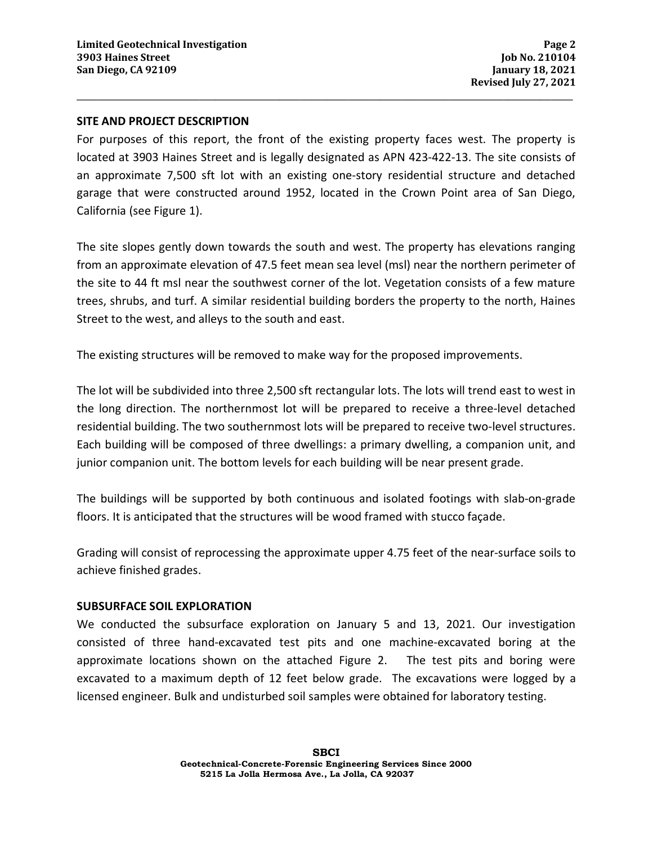#### **SITE AND PROJECT DESCRIPTION**

For purposes of this report, the front of the existing property faces west. The property is located at 3903 Haines Street and is legally designated as APN 423-422-13. The site consists of an approximate 7,500 sft lot with an existing one-story residential structure and detached garage that were constructed around 1952, located in the Crown Point area of San Diego, California (see Figure 1).

**\_\_\_\_\_\_\_\_\_\_\_\_\_\_\_\_\_\_\_\_\_\_\_\_\_\_\_\_\_\_\_\_\_\_\_\_\_\_\_\_\_\_\_\_\_\_\_\_\_\_\_\_\_\_\_\_\_\_\_\_\_\_\_\_\_\_\_\_\_\_\_\_\_\_\_\_\_\_\_\_\_\_\_\_\_\_\_\_\_\_\_\_\_** 

The site slopes gently down towards the south and west. The property has elevations ranging from an approximate elevation of 47.5 feet mean sea level (msl) near the northern perimeter of the site to 44 ft msl near the southwest corner of the lot. Vegetation consists of a few mature trees, shrubs, and turf. A similar residential building borders the property to the north, Haines Street to the west, and alleys to the south and east.

The existing structures will be removed to make way for the proposed improvements.

The lot will be subdivided into three 2,500 sft rectangular lots. The lots will trend east to west in the long direction. The northernmost lot will be prepared to receive a three-level detached residential building. The two southernmost lots will be prepared to receive two-level structures. Each building will be composed of three dwellings: a primary dwelling, a companion unit, and junior companion unit. The bottom levels for each building will be near present grade.

The buildings will be supported by both continuous and isolated footings with slab-on-grade floors. It is anticipated that the structures will be wood framed with stucco façade.

Grading will consist of reprocessing the approximate upper 4.75 feet of the near-surface soils to achieve finished grades.

#### **SUBSURFACE SOIL EXPLORATION**

We conducted the subsurface exploration on January 5 and 13, 2021. Our investigation consisted of three hand-excavated test pits and one machine-excavated boring at the approximate locations shown on the attached Figure 2. The test pits and boring were excavated to a maximum depth of 12 feet below grade. The excavations were logged by a licensed engineer. Bulk and undisturbed soil samples were obtained for laboratory testing.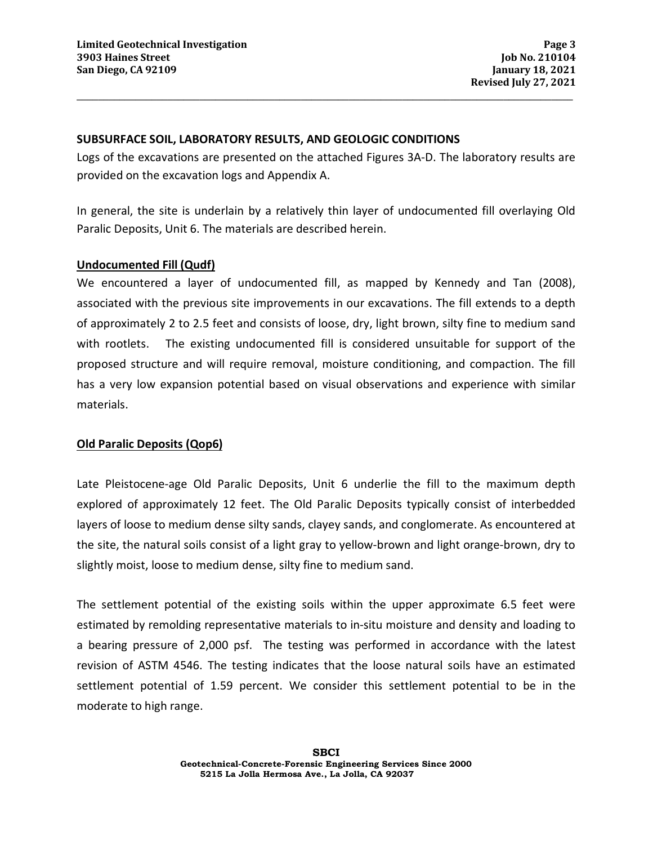#### **SUBSURFACE SOIL, LABORATORY RESULTS, AND GEOLOGIC CONDITIONS**

Logs of the excavations are presented on the attached Figures 3A-D. The laboratory results are provided on the excavation logs and Appendix A.

**\_\_\_\_\_\_\_\_\_\_\_\_\_\_\_\_\_\_\_\_\_\_\_\_\_\_\_\_\_\_\_\_\_\_\_\_\_\_\_\_\_\_\_\_\_\_\_\_\_\_\_\_\_\_\_\_\_\_\_\_\_\_\_\_\_\_\_\_\_\_\_\_\_\_\_\_\_\_\_\_\_\_\_\_\_\_\_\_\_\_\_\_\_** 

In general, the site is underlain by a relatively thin layer of undocumented fill overlaying Old Paralic Deposits, Unit 6. The materials are described herein.

#### **Undocumented Fill (Qudf)**

We encountered a layer of undocumented fill, as mapped by Kennedy and Tan (2008), associated with the previous site improvements in our excavations. The fill extends to a depth of approximately 2 to 2.5 feet and consists of loose, dry, light brown, silty fine to medium sand with rootlets. The existing undocumented fill is considered unsuitable for support of the proposed structure and will require removal, moisture conditioning, and compaction. The fill has a very low expansion potential based on visual observations and experience with similar materials.

## **Old Paralic Deposits (Qop6)**

Late Pleistocene-age Old Paralic Deposits, Unit 6 underlie the fill to the maximum depth explored of approximately 12 feet. The Old Paralic Deposits typically consist of interbedded layers of loose to medium dense silty sands, clayey sands, and conglomerate. As encountered at the site, the natural soils consist of a light gray to yellow-brown and light orange-brown, dry to slightly moist, loose to medium dense, silty fine to medium sand.

The settlement potential of the existing soils within the upper approximate 6.5 feet were estimated by remolding representative materials to in-situ moisture and density and loading to a bearing pressure of 2,000 psf. The testing was performed in accordance with the latest revision of ASTM 4546. The testing indicates that the loose natural soils have an estimated settlement potential of 1.59 percent. We consider this settlement potential to be in the moderate to high range.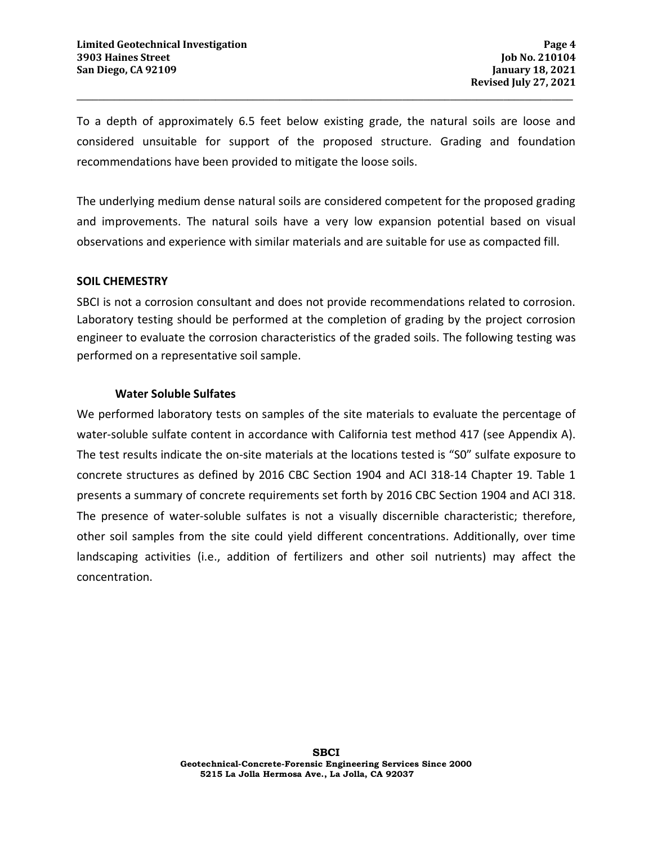To a depth of approximately 6.5 feet below existing grade, the natural soils are loose and considered unsuitable for support of the proposed structure. Grading and foundation recommendations have been provided to mitigate the loose soils.

**\_\_\_\_\_\_\_\_\_\_\_\_\_\_\_\_\_\_\_\_\_\_\_\_\_\_\_\_\_\_\_\_\_\_\_\_\_\_\_\_\_\_\_\_\_\_\_\_\_\_\_\_\_\_\_\_\_\_\_\_\_\_\_\_\_\_\_\_\_\_\_\_\_\_\_\_\_\_\_\_\_\_\_\_\_\_\_\_\_\_\_\_\_** 

The underlying medium dense natural soils are considered competent for the proposed grading and improvements. The natural soils have a very low expansion potential based on visual observations and experience with similar materials and are suitable for use as compacted fill.

## **SOIL CHEMESTRY**

SBCI is not a corrosion consultant and does not provide recommendations related to corrosion. Laboratory testing should be performed at the completion of grading by the project corrosion engineer to evaluate the corrosion characteristics of the graded soils. The following testing was performed on a representative soil sample.

#### **Water Soluble Sulfates**

We performed laboratory tests on samples of the site materials to evaluate the percentage of water-soluble sulfate content in accordance with California test method 417 (see Appendix A). The test results indicate the on-site materials at the locations tested is "S0" sulfate exposure to concrete structures as defined by 2016 CBC Section 1904 and ACI 318-14 Chapter 19. Table 1 presents a summary of concrete requirements set forth by 2016 CBC Section 1904 and ACI 318. The presence of water-soluble sulfates is not a visually discernible characteristic; therefore, other soil samples from the site could yield different concentrations. Additionally, over time landscaping activities (i.e., addition of fertilizers and other soil nutrients) may affect the concentration.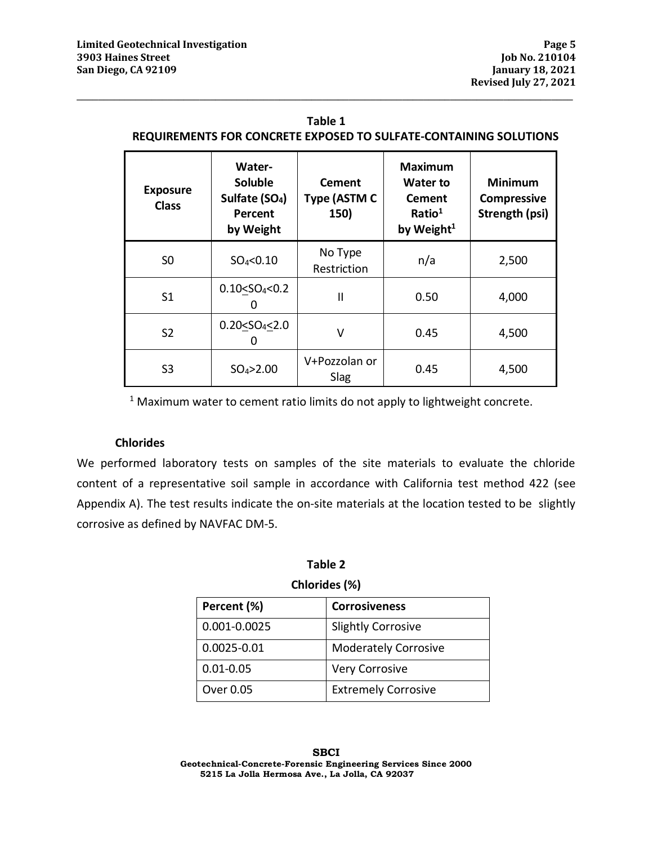## **Table 1 REQUIREMENTS FOR CONCRETE EXPOSED TO SULFATE-CONTAINING SOLUTIONS**

**\_\_\_\_\_\_\_\_\_\_\_\_\_\_\_\_\_\_\_\_\_\_\_\_\_\_\_\_\_\_\_\_\_\_\_\_\_\_\_\_\_\_\_\_\_\_\_\_\_\_\_\_\_\_\_\_\_\_\_\_\_\_\_\_\_\_\_\_\_\_\_\_\_\_\_\_\_\_\_\_\_\_\_\_\_\_\_\_\_\_\_\_\_** 

| <b>Exposure</b><br><b>Class</b> | Water-<br>Soluble<br>Sulfate (SO <sub>4</sub> )<br>Percent<br>by Weight | Cement<br>Type (ASTM C<br>150) | <b>Maximum</b><br>Water to<br><b>Cement</b><br>Ratio <sup>1</sup><br>by Weight <sup>1</sup> | <b>Minimum</b><br><b>Compressive</b><br>Strength (psi) |  |
|---------------------------------|-------------------------------------------------------------------------|--------------------------------|---------------------------------------------------------------------------------------------|--------------------------------------------------------|--|
| S <sub>0</sub>                  | $SO_4 < 0.10$                                                           | No Type<br>Restriction         | n/a                                                                                         | 2,500                                                  |  |
| S <sub>1</sub>                  | 0.10 < SO <sub>4</sub> < 0.2                                            | $\mathbf{I}$                   | 0.50                                                                                        | 4,000                                                  |  |
| S <sub>2</sub>                  | 0.20 < SO <sub>4</sub> < 2.0                                            | v                              | 0.45                                                                                        | 4,500                                                  |  |
| S3                              | $SO_4 > 2.00$                                                           | V+Pozzolan or<br>Slag          | 0.45                                                                                        | 4,500                                                  |  |

 $1$  Maximum water to cement ratio limits do not apply to lightweight concrete.

## **Chlorides**

We performed laboratory tests on samples of the site materials to evaluate the chloride content of a representative soil sample in accordance with California test method 422 (see Appendix A). The test results indicate the on-site materials at the location tested to be slightly corrosive as defined by NAVFAC DM-5.

#### **Table 2**

#### **Chlorides (%)**

| Percent (%)     | <b>Corrosiveness</b>        |
|-----------------|-----------------------------|
| 0.001-0.0025    | <b>Slightly Corrosive</b>   |
| $0.0025 - 0.01$ | <b>Moderately Corrosive</b> |
| $0.01 - 0.05$   | <b>Very Corrosive</b>       |
| Over 0.05       | <b>Extremely Corrosive</b>  |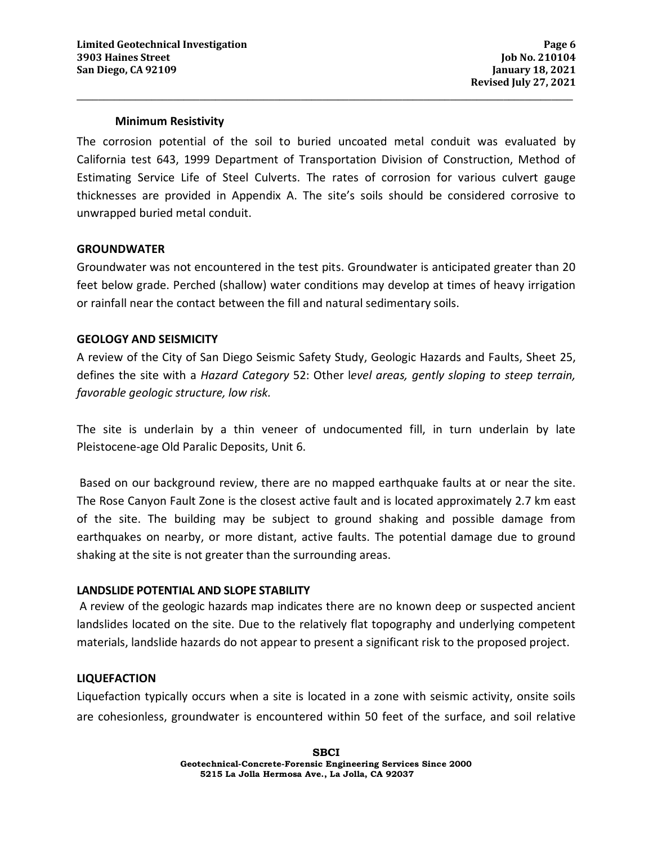## **Minimum Resistivity**

The corrosion potential of the soil to buried uncoated metal conduit was evaluated by California test 643, 1999 Department of Transportation Division of Construction, Method of Estimating Service Life of Steel Culverts. The rates of corrosion for various culvert gauge thicknesses are provided in Appendix A. The site's soils should be considered corrosive to unwrapped buried metal conduit.

**\_\_\_\_\_\_\_\_\_\_\_\_\_\_\_\_\_\_\_\_\_\_\_\_\_\_\_\_\_\_\_\_\_\_\_\_\_\_\_\_\_\_\_\_\_\_\_\_\_\_\_\_\_\_\_\_\_\_\_\_\_\_\_\_\_\_\_\_\_\_\_\_\_\_\_\_\_\_\_\_\_\_\_\_\_\_\_\_\_\_\_\_\_** 

#### **GROUNDWATER**

Groundwater was not encountered in the test pits. Groundwater is anticipated greater than 20 feet below grade. Perched (shallow) water conditions may develop at times of heavy irrigation or rainfall near the contact between the fill and natural sedimentary soils.

## **GEOLOGY AND SEISMICITY**

A review of the City of San Diego Seismic Safety Study, Geologic Hazards and Faults, Sheet 25, defines the site with a *Hazard Category* 52: Other l*evel areas, gently sloping to steep terrain, favorable geologic structure, low risk.*

The site is underlain by a thin veneer of undocumented fill, in turn underlain by late Pleistocene-age Old Paralic Deposits, Unit 6.

 Based on our background review, there are no mapped earthquake faults at or near the site. The Rose Canyon Fault Zone is the closest active fault and is located approximately 2.7 km east of the site. The building may be subject to ground shaking and possible damage from earthquakes on nearby, or more distant, active faults. The potential damage due to ground shaking at the site is not greater than the surrounding areas.

#### **LANDSLIDE POTENTIAL AND SLOPE STABILITY**

 A review of the geologic hazards map indicates there are no known deep or suspected ancient landslides located on the site. Due to the relatively flat topography and underlying competent materials, landslide hazards do not appear to present a significant risk to the proposed project.

## **LIQUEFACTION**

Liquefaction typically occurs when a site is located in a zone with seismic activity, onsite soils are cohesionless, groundwater is encountered within 50 feet of the surface, and soil relative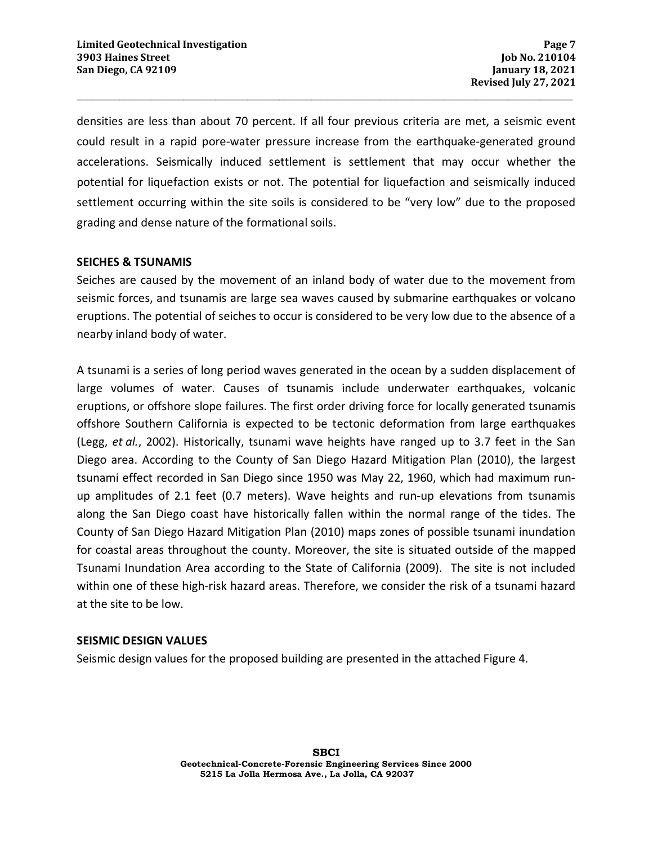densities are less than about 70 percent. If all four previous criteria are met, a seismic event could result in a rapid pore-water pressure increase from the earthquake-generated ground accelerations. Seismically induced settlement is settlement that may occur whether the potential for liquefaction exists or not. The potential for liquefaction and seismically induced settlement occurring within the site soils is considered to be "very low" due to the proposed grading and dense nature of the formational soils.

**\_\_\_\_\_\_\_\_\_\_\_\_\_\_\_\_\_\_\_\_\_\_\_\_\_\_\_\_\_\_\_\_\_\_\_\_\_\_\_\_\_\_\_\_\_\_\_\_\_\_\_\_\_\_\_\_\_\_\_\_\_\_\_\_\_\_\_\_\_\_\_\_\_\_\_\_\_\_\_\_\_\_\_\_\_\_\_\_\_\_\_\_\_** 

## **SEICHES & TSUNAMIS**

Seiches are caused by the movement of an inland body of water due to the movement from seismic forces, and tsunamis are large sea waves caused by submarine earthquakes or volcano eruptions. The potential of seiches to occur is considered to be very low due to the absence of a nearby inland body of water.

A tsunami is a series of long period waves generated in the ocean by a sudden displacement of large volumes of water. Causes of tsunamis include underwater earthquakes, volcanic eruptions, or offshore slope failures. The first order driving force for locally generated tsunamis offshore Southern California is expected to be tectonic deformation from large earthquakes (Legg, *et al.*, 2002). Historically, tsunami wave heights have ranged up to 3.7 feet in the San Diego area. According to the County of San Diego Hazard Mitigation Plan (2010), the largest tsunami effect recorded in San Diego since 1950 was May 22, 1960, which had maximum runup amplitudes of 2.1 feet (0.7 meters). Wave heights and run-up elevations from tsunamis along the San Diego coast have historically fallen within the normal range of the tides. The County of San Diego Hazard Mitigation Plan (2010) maps zones of possible tsunami inundation for coastal areas throughout the county. Moreover, the site is situated outside of the mapped Tsunami Inundation Area according to the State of California (2009). The site is not included within one of these high-risk hazard areas. Therefore, we consider the risk of a tsunami hazard at the site to be low.

#### **SEISMIC DESIGN VALUES**

Seismic design values for the proposed building are presented in the attached Figure 4.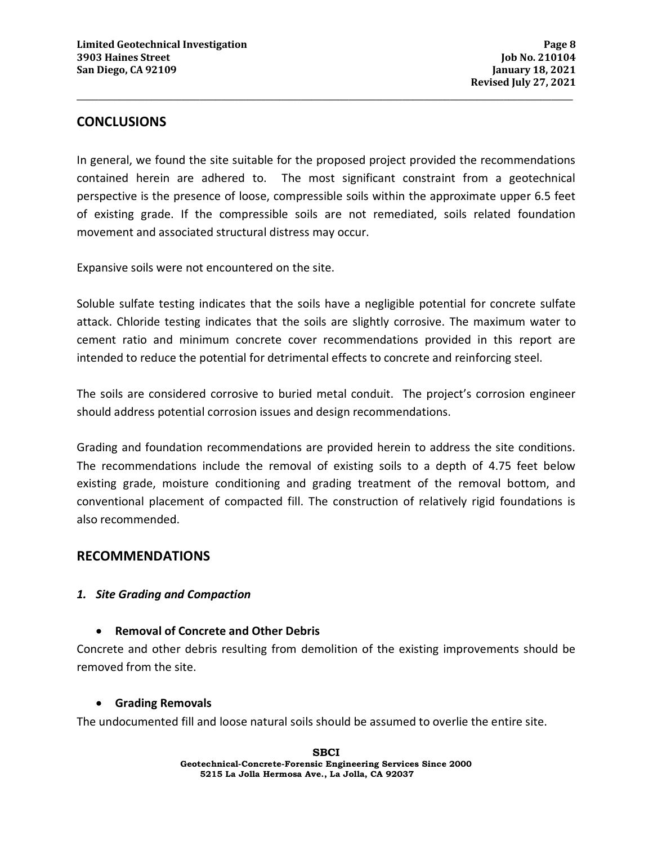## **CONCLUSIONS**

In general, we found the site suitable for the proposed project provided the recommendations contained herein are adhered to. The most significant constraint from a geotechnical perspective is the presence of loose, compressible soils within the approximate upper 6.5 feet of existing grade. If the compressible soils are not remediated, soils related foundation movement and associated structural distress may occur.

**\_\_\_\_\_\_\_\_\_\_\_\_\_\_\_\_\_\_\_\_\_\_\_\_\_\_\_\_\_\_\_\_\_\_\_\_\_\_\_\_\_\_\_\_\_\_\_\_\_\_\_\_\_\_\_\_\_\_\_\_\_\_\_\_\_\_\_\_\_\_\_\_\_\_\_\_\_\_\_\_\_\_\_\_\_\_\_\_\_\_\_\_\_** 

Expansive soils were not encountered on the site.

Soluble sulfate testing indicates that the soils have a negligible potential for concrete sulfate attack. Chloride testing indicates that the soils are slightly corrosive. The maximum water to cement ratio and minimum concrete cover recommendations provided in this report are intended to reduce the potential for detrimental effects to concrete and reinforcing steel.

The soils are considered corrosive to buried metal conduit. The project's corrosion engineer should address potential corrosion issues and design recommendations.

Grading and foundation recommendations are provided herein to address the site conditions. The recommendations include the removal of existing soils to a depth of 4.75 feet below existing grade, moisture conditioning and grading treatment of the removal bottom, and conventional placement of compacted fill. The construction of relatively rigid foundations is also recommended.

## **RECOMMENDATIONS**

## *1. Site Grading and Compaction*

## • **Removal of Concrete and Other Debris**

Concrete and other debris resulting from demolition of the existing improvements should be removed from the site.

## • **Grading Removals**

The undocumented fill and loose natural soils should be assumed to overlie the entire site.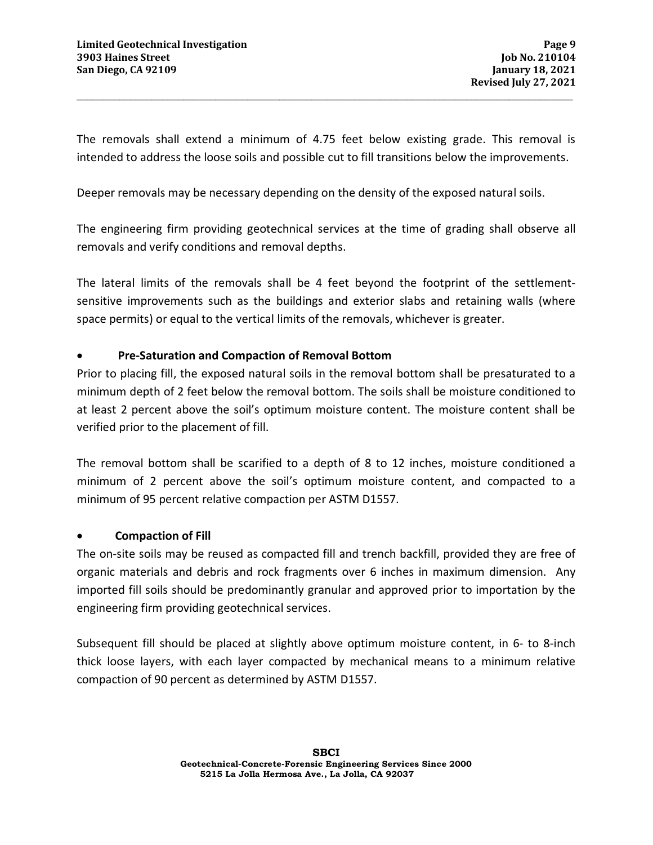The removals shall extend a minimum of 4.75 feet below existing grade. This removal is intended to address the loose soils and possible cut to fill transitions below the improvements.

**\_\_\_\_\_\_\_\_\_\_\_\_\_\_\_\_\_\_\_\_\_\_\_\_\_\_\_\_\_\_\_\_\_\_\_\_\_\_\_\_\_\_\_\_\_\_\_\_\_\_\_\_\_\_\_\_\_\_\_\_\_\_\_\_\_\_\_\_\_\_\_\_\_\_\_\_\_\_\_\_\_\_\_\_\_\_\_\_\_\_\_\_\_** 

Deeper removals may be necessary depending on the density of the exposed natural soils.

The engineering firm providing geotechnical services at the time of grading shall observe all removals and verify conditions and removal depths.

The lateral limits of the removals shall be 4 feet beyond the footprint of the settlementsensitive improvements such as the buildings and exterior slabs and retaining walls (where space permits) or equal to the vertical limits of the removals, whichever is greater.

## • **Pre-Saturation and Compaction of Removal Bottom**

Prior to placing fill, the exposed natural soils in the removal bottom shall be presaturated to a minimum depth of 2 feet below the removal bottom. The soils shall be moisture conditioned to at least 2 percent above the soil's optimum moisture content. The moisture content shall be verified prior to the placement of fill.

The removal bottom shall be scarified to a depth of 8 to 12 inches, moisture conditioned a minimum of 2 percent above the soil's optimum moisture content, and compacted to a minimum of 95 percent relative compaction per ASTM D1557.

## • **Compaction of Fill**

The on-site soils may be reused as compacted fill and trench backfill, provided they are free of organic materials and debris and rock fragments over 6 inches in maximum dimension. Any imported fill soils should be predominantly granular and approved prior to importation by the engineering firm providing geotechnical services.

Subsequent fill should be placed at slightly above optimum moisture content, in 6- to 8-inch thick loose layers, with each layer compacted by mechanical means to a minimum relative compaction of 90 percent as determined by ASTM D1557.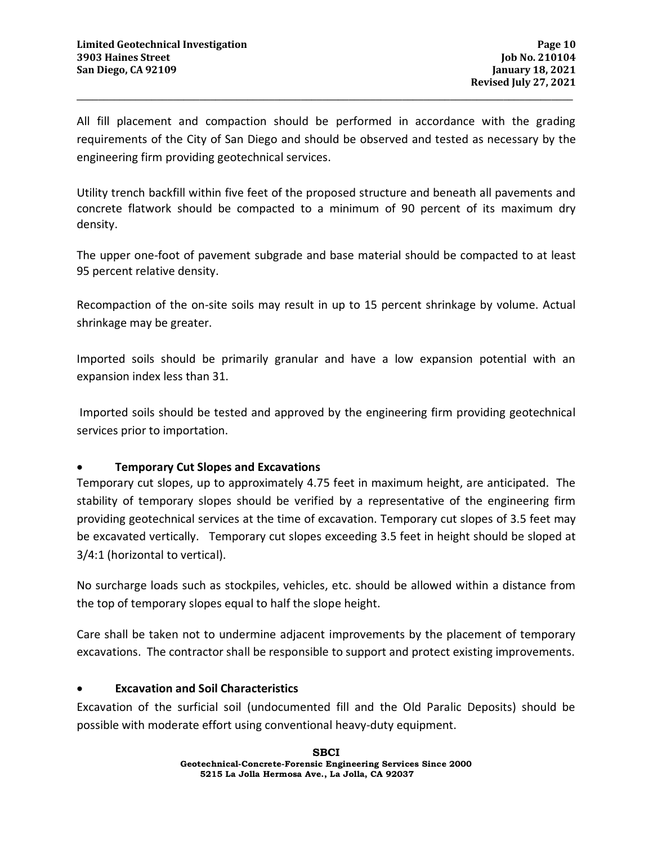All fill placement and compaction should be performed in accordance with the grading requirements of the City of San Diego and should be observed and tested as necessary by the engineering firm providing geotechnical services.

**\_\_\_\_\_\_\_\_\_\_\_\_\_\_\_\_\_\_\_\_\_\_\_\_\_\_\_\_\_\_\_\_\_\_\_\_\_\_\_\_\_\_\_\_\_\_\_\_\_\_\_\_\_\_\_\_\_\_\_\_\_\_\_\_\_\_\_\_\_\_\_\_\_\_\_\_\_\_\_\_\_\_\_\_\_\_\_\_\_\_\_\_\_** 

Utility trench backfill within five feet of the proposed structure and beneath all pavements and concrete flatwork should be compacted to a minimum of 90 percent of its maximum dry density.

The upper one-foot of pavement subgrade and base material should be compacted to at least 95 percent relative density.

Recompaction of the on-site soils may result in up to 15 percent shrinkage by volume. Actual shrinkage may be greater.

Imported soils should be primarily granular and have a low expansion potential with an expansion index less than 31.

 Imported soils should be tested and approved by the engineering firm providing geotechnical services prior to importation.

## • **Temporary Cut Slopes and Excavations**

Temporary cut slopes, up to approximately 4.75 feet in maximum height, are anticipated. The stability of temporary slopes should be verified by a representative of the engineering firm providing geotechnical services at the time of excavation. Temporary cut slopes of 3.5 feet may be excavated vertically. Temporary cut slopes exceeding 3.5 feet in height should be sloped at 3/4:1 (horizontal to vertical).

No surcharge loads such as stockpiles, vehicles, etc. should be allowed within a distance from the top of temporary slopes equal to half the slope height.

Care shall be taken not to undermine adjacent improvements by the placement of temporary excavations. The contractor shall be responsible to support and protect existing improvements.

## • **Excavation and Soil Characteristics**

 Excavation of the surficial soil (undocumented fill and the Old Paralic Deposits) should be possible with moderate effort using conventional heavy-duty equipment.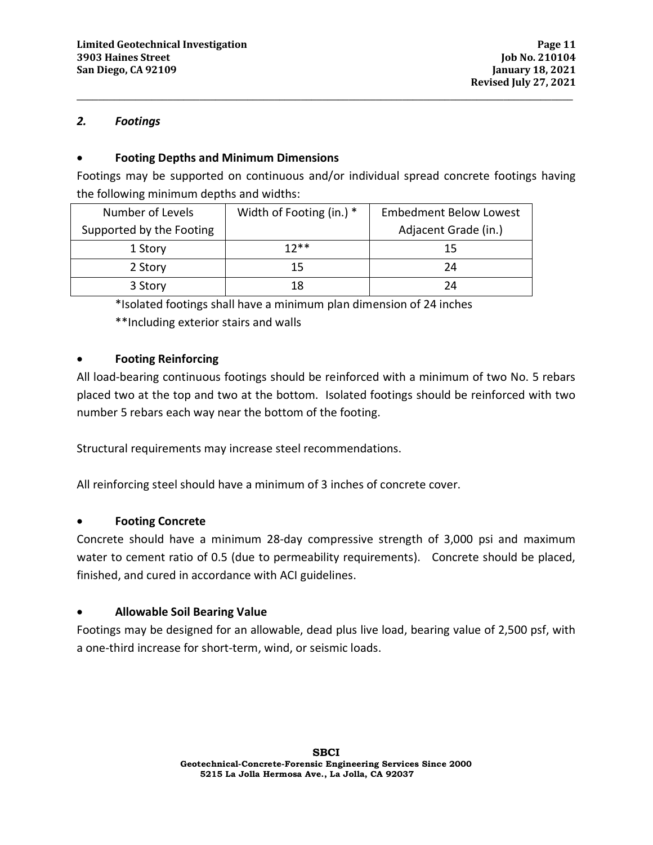## *2. Footings*

## • **Footing Depths and Minimum Dimensions**

Footings may be supported on continuous and/or individual spread concrete footings having the following minimum depths and widths:

**\_\_\_\_\_\_\_\_\_\_\_\_\_\_\_\_\_\_\_\_\_\_\_\_\_\_\_\_\_\_\_\_\_\_\_\_\_\_\_\_\_\_\_\_\_\_\_\_\_\_\_\_\_\_\_\_\_\_\_\_\_\_\_\_\_\_\_\_\_\_\_\_\_\_\_\_\_\_\_\_\_\_\_\_\_\_\_\_\_\_\_\_\_** 

| Number of Levels         | Width of Footing (in.) * | <b>Embedment Below Lowest</b> |  |  |
|--------------------------|--------------------------|-------------------------------|--|--|
| Supported by the Footing |                          | Adjacent Grade (in.)          |  |  |
| 1 Story                  | $12**$                   | 15                            |  |  |
| 2 Story                  | 15                       | 24                            |  |  |
| 3 Story                  | 18                       | 24                            |  |  |

\*Isolated footings shall have a minimum plan dimension of 24 inches

\*\*Including exterior stairs and walls

## • **Footing Reinforcing**

All load-bearing continuous footings should be reinforced with a minimum of two No. 5 rebars placed two at the top and two at the bottom. Isolated footings should be reinforced with two number 5 rebars each way near the bottom of the footing.

Structural requirements may increase steel recommendations.

All reinforcing steel should have a minimum of 3 inches of concrete cover.

## • **Footing Concrete**

Concrete should have a minimum 28-day compressive strength of 3,000 psi and maximum water to cement ratio of 0.5 (due to permeability requirements). Concrete should be placed, finished, and cured in accordance with ACI guidelines.

## • **Allowable Soil Bearing Value**

Footings may be designed for an allowable, dead plus live load, bearing value of 2,500 psf, with a one-third increase for short-term, wind, or seismic loads.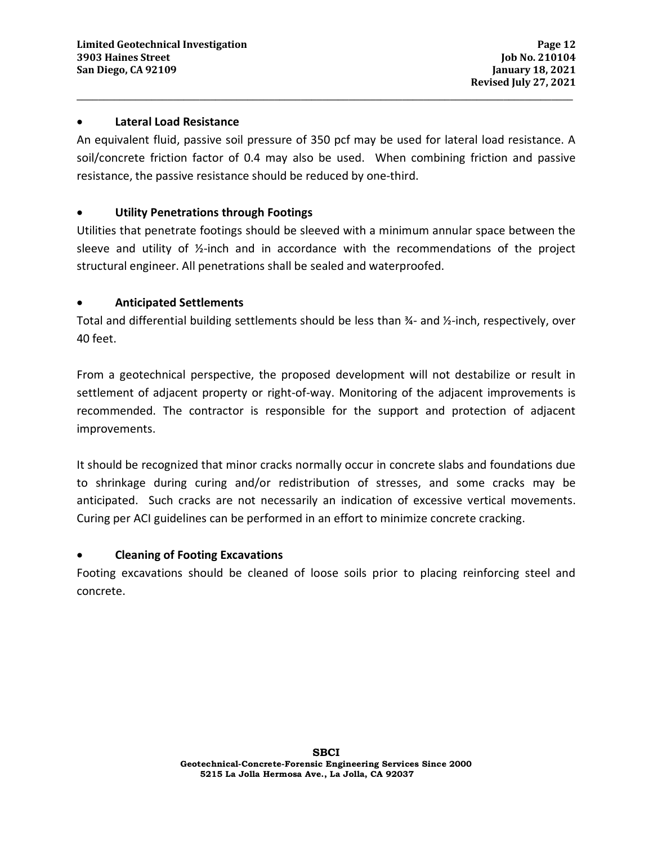#### • **Lateral Load Resistance**

An equivalent fluid, passive soil pressure of 350 pcf may be used for lateral load resistance. A soil/concrete friction factor of 0.4 may also be used. When combining friction and passive resistance, the passive resistance should be reduced by one-third.

**\_\_\_\_\_\_\_\_\_\_\_\_\_\_\_\_\_\_\_\_\_\_\_\_\_\_\_\_\_\_\_\_\_\_\_\_\_\_\_\_\_\_\_\_\_\_\_\_\_\_\_\_\_\_\_\_\_\_\_\_\_\_\_\_\_\_\_\_\_\_\_\_\_\_\_\_\_\_\_\_\_\_\_\_\_\_\_\_\_\_\_\_\_** 

## • **Utility Penetrations through Footings**

Utilities that penetrate footings should be sleeved with a minimum annular space between the sleeve and utility of  $\frac{1}{2}$ -inch and in accordance with the recommendations of the project structural engineer. All penetrations shall be sealed and waterproofed.

## • **Anticipated Settlements**

Total and differential building settlements should be less than ¾- and ½-inch, respectively, over 40 feet.

From a geotechnical perspective, the proposed development will not destabilize or result in settlement of adjacent property or right-of-way. Monitoring of the adjacent improvements is recommended. The contractor is responsible for the support and protection of adjacent improvements.

It should be recognized that minor cracks normally occur in concrete slabs and foundations due to shrinkage during curing and/or redistribution of stresses, and some cracks may be anticipated. Such cracks are not necessarily an indication of excessive vertical movements. Curing per ACI guidelines can be performed in an effort to minimize concrete cracking.

## • **Cleaning of Footing Excavations**

Footing excavations should be cleaned of loose soils prior to placing reinforcing steel and concrete.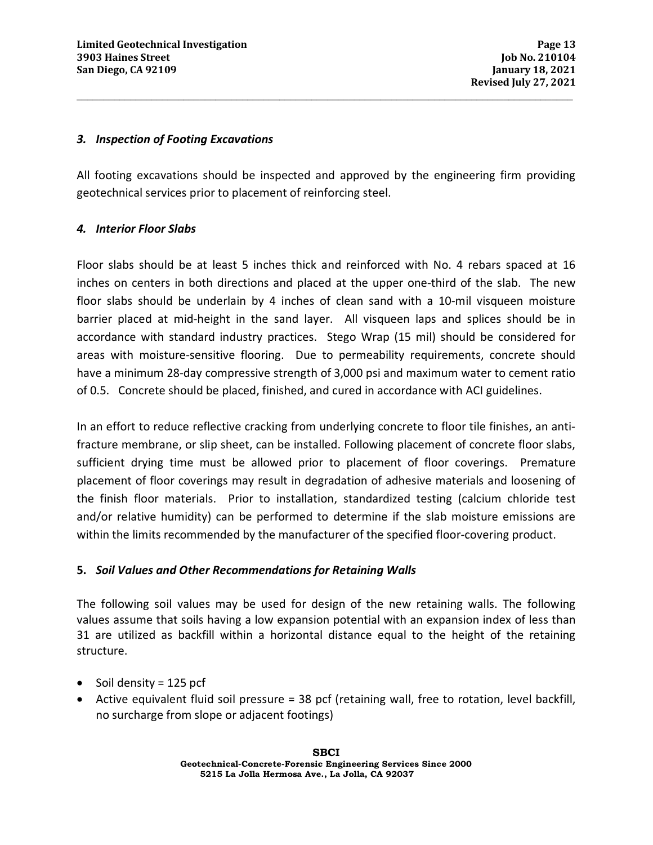#### *3. Inspection of Footing Excavations*

All footing excavations should be inspected and approved by the engineering firm providing geotechnical services prior to placement of reinforcing steel.

**\_\_\_\_\_\_\_\_\_\_\_\_\_\_\_\_\_\_\_\_\_\_\_\_\_\_\_\_\_\_\_\_\_\_\_\_\_\_\_\_\_\_\_\_\_\_\_\_\_\_\_\_\_\_\_\_\_\_\_\_\_\_\_\_\_\_\_\_\_\_\_\_\_\_\_\_\_\_\_\_\_\_\_\_\_\_\_\_\_\_\_\_\_** 

## *4. Interior Floor Slabs*

Floor slabs should be at least 5 inches thick and reinforced with No. 4 rebars spaced at 16 inches on centers in both directions and placed at the upper one-third of the slab. The new floor slabs should be underlain by 4 inches of clean sand with a 10-mil visqueen moisture barrier placed at mid-height in the sand layer. All visqueen laps and splices should be in accordance with standard industry practices. Stego Wrap (15 mil) should be considered for areas with moisture-sensitive flooring. Due to permeability requirements, concrete should have a minimum 28-day compressive strength of 3,000 psi and maximum water to cement ratio of 0.5. Concrete should be placed, finished, and cured in accordance with ACI guidelines.

In an effort to reduce reflective cracking from underlying concrete to floor tile finishes, an antifracture membrane, or slip sheet, can be installed. Following placement of concrete floor slabs, sufficient drying time must be allowed prior to placement of floor coverings. Premature placement of floor coverings may result in degradation of adhesive materials and loosening of the finish floor materials. Prior to installation, standardized testing (calcium chloride test and/or relative humidity) can be performed to determine if the slab moisture emissions are within the limits recommended by the manufacturer of the specified floor-covering product.

## **5.** *Soil Values and Other Recommendations for Retaining Walls*

The following soil values may be used for design of the new retaining walls. The following values assume that soils having a low expansion potential with an expansion index of less than 31 are utilized as backfill within a horizontal distance equal to the height of the retaining structure.

- Soil density =  $125$  pcf
- Active equivalent fluid soil pressure = 38 pcf (retaining wall, free to rotation, level backfill, no surcharge from slope or adjacent footings)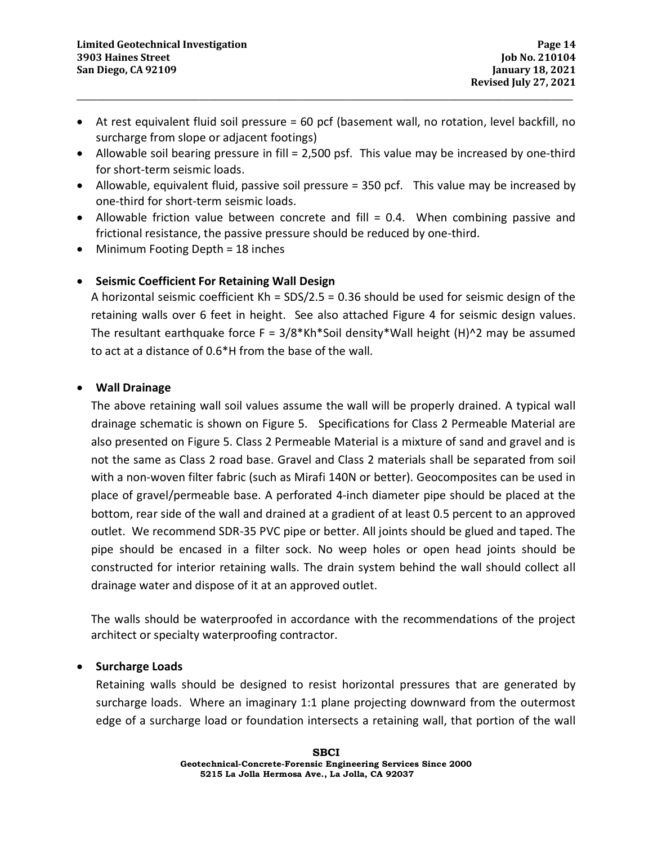• At rest equivalent fluid soil pressure = 60 pcf (basement wall, no rotation, level backfill, no surcharge from slope or adjacent footings)

**\_\_\_\_\_\_\_\_\_\_\_\_\_\_\_\_\_\_\_\_\_\_\_\_\_\_\_\_\_\_\_\_\_\_\_\_\_\_\_\_\_\_\_\_\_\_\_\_\_\_\_\_\_\_\_\_\_\_\_\_\_\_\_\_\_\_\_\_\_\_\_\_\_\_\_\_\_\_\_\_\_\_\_\_\_\_\_\_\_\_\_\_\_** 

- Allowable soil bearing pressure in fill = 2,500 psf. This value may be increased by one-third for short-term seismic loads.
- Allowable, equivalent fluid, passive soil pressure = 350 pcf. This value may be increased by one-third for short-term seismic loads.
- Allowable friction value between concrete and fill = 0.4. When combining passive and frictional resistance, the passive pressure should be reduced by one-third.
- Minimum Footing Depth = 18 inches

## • **Seismic Coefficient For Retaining Wall Design**

A horizontal seismic coefficient Kh = SDS/2.5 = 0.36 should be used for seismic design of the retaining walls over 6 feet in height. See also attached Figure 4 for seismic design values. The resultant earthquake force  $F = 3/8*kh*S$ oil density\*Wall height (H)^2 may be assumed to act at a distance of 0.6\*H from the base of the wall.

## • **Wall Drainage**

The above retaining wall soil values assume the wall will be properly drained. A typical wall drainage schematic is shown on Figure 5. Specifications for Class 2 Permeable Material are also presented on Figure 5. Class 2 Permeable Material is a mixture of sand and gravel and is not the same as Class 2 road base. Gravel and Class 2 materials shall be separated from soil with a non-woven filter fabric (such as Mirafi 140N or better). Geocomposites can be used in place of gravel/permeable base. A perforated 4-inch diameter pipe should be placed at the bottom, rear side of the wall and drained at a gradient of at least 0.5 percent to an approved outlet. We recommend SDR-35 PVC pipe or better. All joints should be glued and taped. The pipe should be encased in a filter sock. No weep holes or open head joints should be constructed for interior retaining walls. The drain system behind the wall should collect all drainage water and dispose of it at an approved outlet.

The walls should be waterproofed in accordance with the recommendations of the project architect or specialty waterproofing contractor.

## • **Surcharge Loads**

Retaining walls should be designed to resist horizontal pressures that are generated by surcharge loads. Where an imaginary 1:1 plane projecting downward from the outermost edge of a surcharge load or foundation intersects a retaining wall, that portion of the wall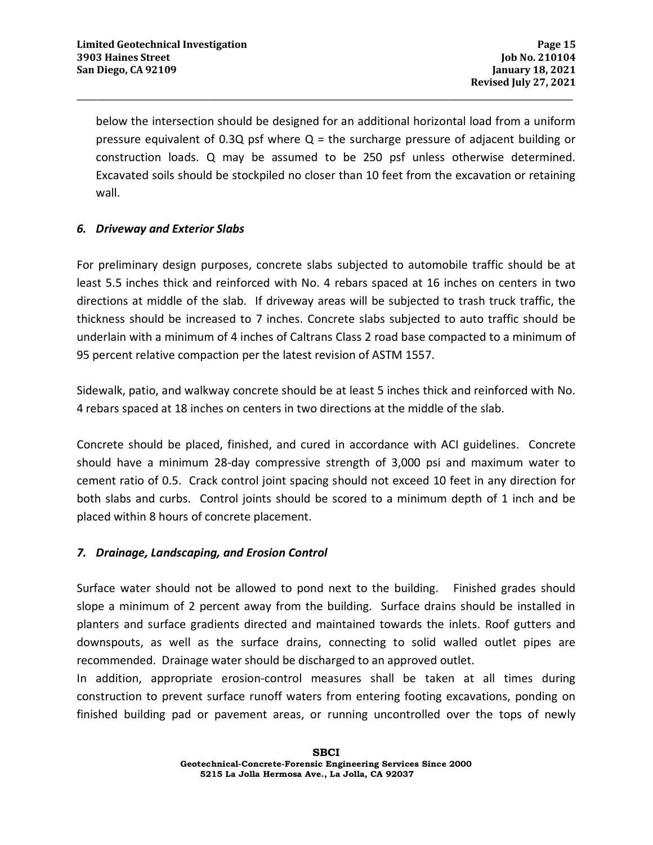below the intersection should be designed for an additional horizontal load from a uniform pressure equivalent of 0.3Q psf where  $Q =$  the surcharge pressure of adjacent building or construction loads. Q may be assumed to be 250 psf unless otherwise determined. Excavated soils should be stockpiled no closer than 10 feet from the excavation or retaining wall.

**\_\_\_\_\_\_\_\_\_\_\_\_\_\_\_\_\_\_\_\_\_\_\_\_\_\_\_\_\_\_\_\_\_\_\_\_\_\_\_\_\_\_\_\_\_\_\_\_\_\_\_\_\_\_\_\_\_\_\_\_\_\_\_\_\_\_\_\_\_\_\_\_\_\_\_\_\_\_\_\_\_\_\_\_\_\_\_\_\_\_\_\_\_** 

## *6. Driveway and Exterior Slabs*

For preliminary design purposes, concrete slabs subjected to automobile traffic should be at least 5.5 inches thick and reinforced with No. 4 rebars spaced at 16 inches on centers in two directions at middle of the slab. If driveway areas will be subjected to trash truck traffic, the thickness should be increased to 7 inches. Concrete slabs subjected to auto traffic should be underlain with a minimum of 4 inches of Caltrans Class 2 road base compacted to a minimum of 95 percent relative compaction per the latest revision of ASTM 1557.

Sidewalk, patio, and walkway concrete should be at least 5 inches thick and reinforced with No. 4 rebars spaced at 18 inches on centers in two directions at the middle of the slab.

Concrete should be placed, finished, and cured in accordance with ACI guidelines. Concrete should have a minimum 28-day compressive strength of 3,000 psi and maximum water to cement ratio of 0.5. Crack control joint spacing should not exceed 10 feet in any direction for both slabs and curbs. Control joints should be scored to a minimum depth of 1 inch and be placed within 8 hours of concrete placement.

## *7. Drainage, Landscaping, and Erosion Control*

Surface water should not be allowed to pond next to the building. Finished grades should slope a minimum of 2 percent away from the building. Surface drains should be installed in planters and surface gradients directed and maintained towards the inlets. Roof gutters and downspouts, as well as the surface drains, connecting to solid walled outlet pipes are recommended. Drainage water should be discharged to an approved outlet.

In addition, appropriate erosion-control measures shall be taken at all times during construction to prevent surface runoff waters from entering footing excavations, ponding on finished building pad or pavement areas, or running uncontrolled over the tops of newly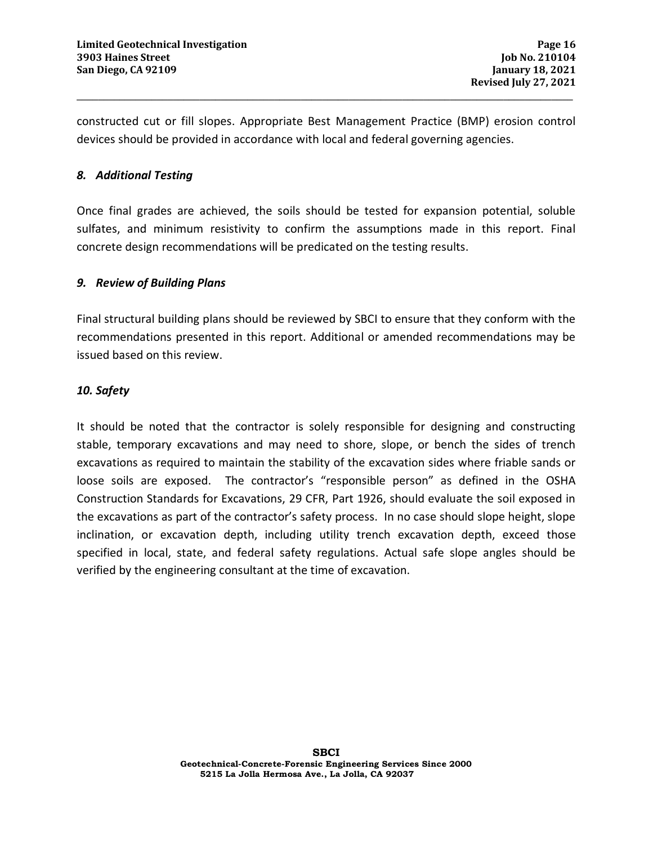constructed cut or fill slopes. Appropriate Best Management Practice (BMP) erosion control devices should be provided in accordance with local and federal governing agencies.

**\_\_\_\_\_\_\_\_\_\_\_\_\_\_\_\_\_\_\_\_\_\_\_\_\_\_\_\_\_\_\_\_\_\_\_\_\_\_\_\_\_\_\_\_\_\_\_\_\_\_\_\_\_\_\_\_\_\_\_\_\_\_\_\_\_\_\_\_\_\_\_\_\_\_\_\_\_\_\_\_\_\_\_\_\_\_\_\_\_\_\_\_\_** 

## *8. Additional Testing*

Once final grades are achieved, the soils should be tested for expansion potential, soluble sulfates, and minimum resistivity to confirm the assumptions made in this report. Final concrete design recommendations will be predicated on the testing results.

## *9. Review of Building Plans*

Final structural building plans should be reviewed by SBCI to ensure that they conform with the recommendations presented in this report. Additional or amended recommendations may be issued based on this review.

## *10. Safety*

It should be noted that the contractor is solely responsible for designing and constructing stable, temporary excavations and may need to shore, slope, or bench the sides of trench excavations as required to maintain the stability of the excavation sides where friable sands or loose soils are exposed. The contractor's "responsible person" as defined in the OSHA Construction Standards for Excavations, 29 CFR, Part 1926, should evaluate the soil exposed in the excavations as part of the contractor's safety process. In no case should slope height, slope inclination, or excavation depth, including utility trench excavation depth, exceed those specified in local, state, and federal safety regulations. Actual safe slope angles should be verified by the engineering consultant at the time of excavation.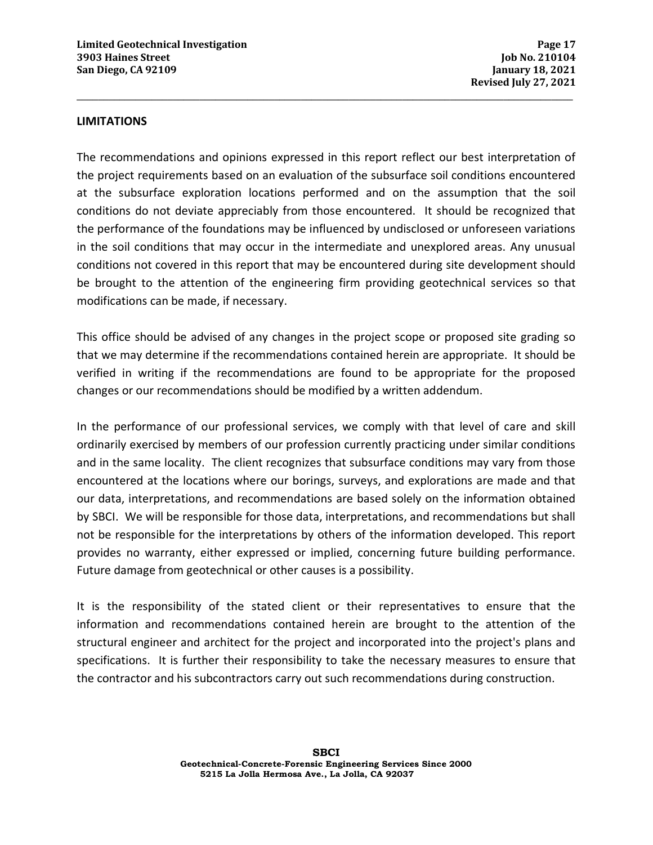#### **LIMITATIONS**

The recommendations and opinions expressed in this report reflect our best interpretation of the project requirements based on an evaluation of the subsurface soil conditions encountered at the subsurface exploration locations performed and on the assumption that the soil conditions do not deviate appreciably from those encountered. It should be recognized that the performance of the foundations may be influenced by undisclosed or unforeseen variations in the soil conditions that may occur in the intermediate and unexplored areas. Any unusual conditions not covered in this report that may be encountered during site development should be brought to the attention of the engineering firm providing geotechnical services so that modifications can be made, if necessary.

**\_\_\_\_\_\_\_\_\_\_\_\_\_\_\_\_\_\_\_\_\_\_\_\_\_\_\_\_\_\_\_\_\_\_\_\_\_\_\_\_\_\_\_\_\_\_\_\_\_\_\_\_\_\_\_\_\_\_\_\_\_\_\_\_\_\_\_\_\_\_\_\_\_\_\_\_\_\_\_\_\_\_\_\_\_\_\_\_\_\_\_\_\_** 

This office should be advised of any changes in the project scope or proposed site grading so that we may determine if the recommendations contained herein are appropriate. It should be verified in writing if the recommendations are found to be appropriate for the proposed changes or our recommendations should be modified by a written addendum.

In the performance of our professional services, we comply with that level of care and skill ordinarily exercised by members of our profession currently practicing under similar conditions and in the same locality. The client recognizes that subsurface conditions may vary from those encountered at the locations where our borings, surveys, and explorations are made and that our data, interpretations, and recommendations are based solely on the information obtained by SBCI. We will be responsible for those data, interpretations, and recommendations but shall not be responsible for the interpretations by others of the information developed. This report provides no warranty, either expressed or implied, concerning future building performance. Future damage from geotechnical or other causes is a possibility.

It is the responsibility of the stated client or their representatives to ensure that the information and recommendations contained herein are brought to the attention of the structural engineer and architect for the project and incorporated into the project's plans and specifications. It is further their responsibility to take the necessary measures to ensure that the contractor and his subcontractors carry out such recommendations during construction.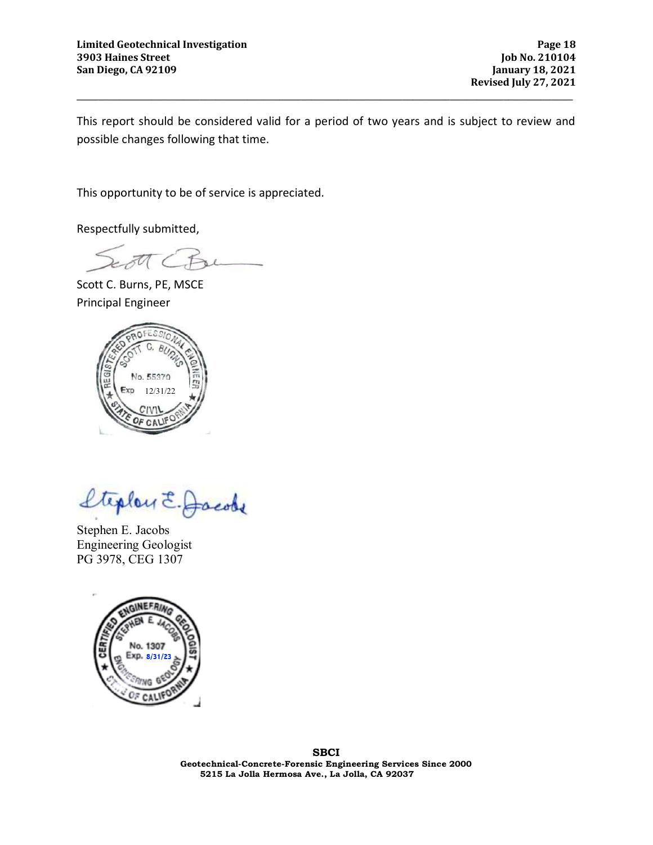**Revised July 27, 2021**

This report should be considered valid for a period of two years and is subject to review and possible changes following that time.

**\_\_\_\_\_\_\_\_\_\_\_\_\_\_\_\_\_\_\_\_\_\_\_\_\_\_\_\_\_\_\_\_\_\_\_\_\_\_\_\_\_\_\_\_\_\_\_\_\_\_\_\_\_\_\_\_\_\_\_\_\_\_\_\_\_\_\_\_\_\_\_\_\_\_\_\_\_\_\_\_\_\_\_\_\_\_\_\_\_\_\_\_\_** 

This opportunity to be of service is appreciated.

Respectfully submitted,

Scott C. Burns, PE, MSCE Principal Engineer



teplen E. Jacobs

Stephen E. Jacobs Engineering Geologist PG 3978, CEG 1307

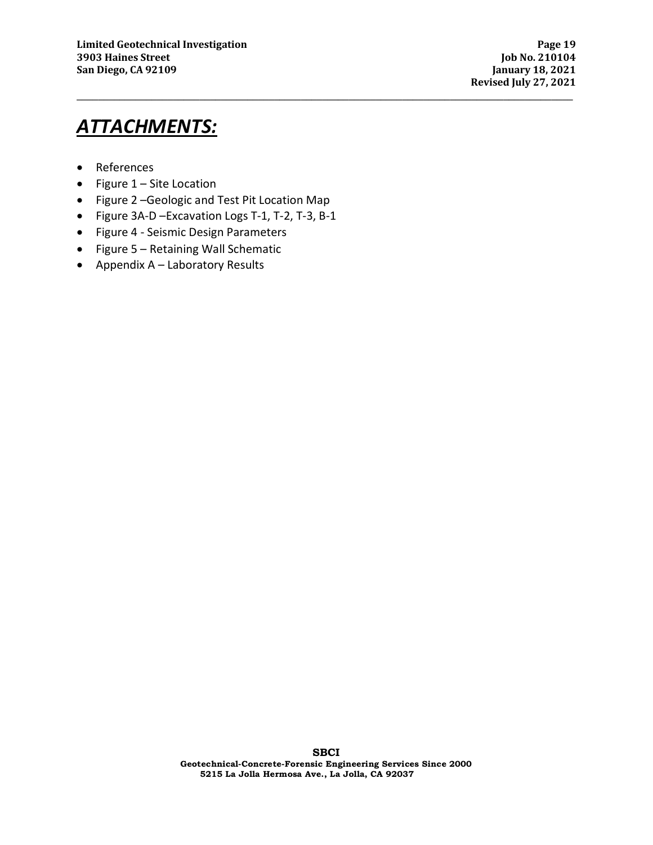**Revised July 27, 2021**

## *ATTACHMENTS:*

- References
- Figure 1 Site Location
- Figure 2 –Geologic and Test Pit Location Map
- Figure 3A-D –Excavation Logs T-1, T-2, T-3, B-1
- Figure 4 Seismic Design Parameters
- Figure 5 Retaining Wall Schematic
- Appendix A Laboratory Results

**\_\_\_\_\_\_\_\_\_\_\_\_\_\_\_\_\_\_\_\_\_\_\_\_\_\_\_\_\_\_\_\_\_\_\_\_\_\_\_\_\_\_\_\_\_\_\_\_\_\_\_\_\_\_\_\_\_\_\_\_\_\_\_\_\_\_\_\_\_\_\_\_\_\_\_\_\_\_\_\_\_\_\_\_\_\_\_\_\_\_\_\_\_**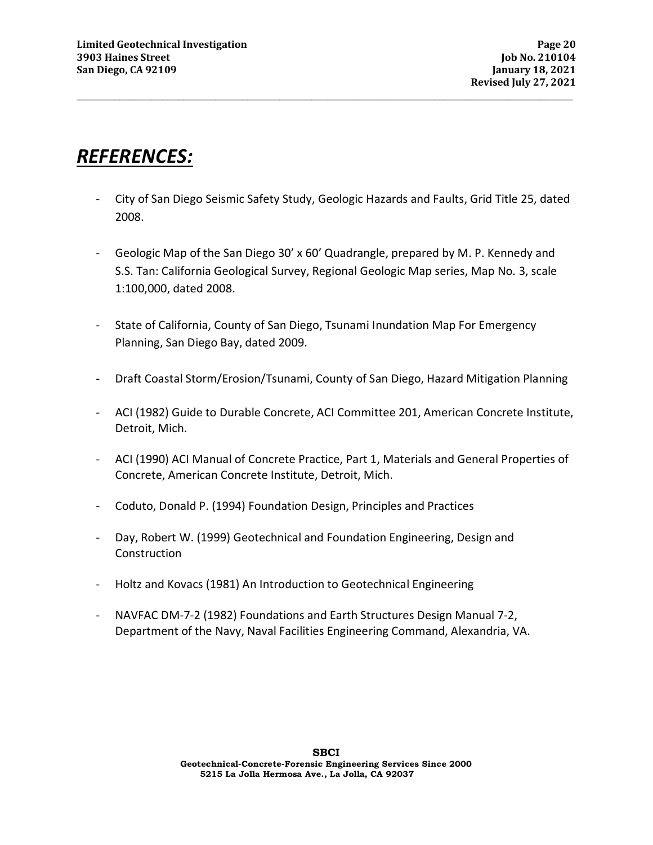## *REFERENCES:*

- City of San Diego Seismic Safety Study, Geologic Hazards and Faults, Grid Title 25, dated 2008.

**\_\_\_\_\_\_\_\_\_\_\_\_\_\_\_\_\_\_\_\_\_\_\_\_\_\_\_\_\_\_\_\_\_\_\_\_\_\_\_\_\_\_\_\_\_\_\_\_\_\_\_\_\_\_\_\_\_\_\_\_\_\_\_\_\_\_\_\_\_\_\_\_\_\_\_\_\_\_\_\_\_\_\_\_\_\_\_\_\_\_\_\_\_** 

- Geologic Map of the San Diego 30' x 60' Quadrangle, prepared by M. P. Kennedy and S.S. Tan: California Geological Survey, Regional Geologic Map series, Map No. 3, scale 1:100,000, dated 2008.
- State of California, County of San Diego, Tsunami Inundation Map For Emergency Planning, San Diego Bay, dated 2009.
- Draft Coastal Storm/Erosion/Tsunami, County of San Diego, Hazard Mitigation Planning
- ACI (1982) Guide to Durable Concrete, ACI Committee 201, American Concrete Institute, Detroit, Mich.
- ACI (1990) ACI Manual of Concrete Practice, Part 1, Materials and General Properties of Concrete, American Concrete Institute, Detroit, Mich.
- Coduto, Donald P. (1994) Foundation Design, Principles and Practices
- Day, Robert W. (1999) Geotechnical and Foundation Engineering, Design and **Construction**
- Holtz and Kovacs (1981) An Introduction to Geotechnical Engineering
- NAVFAC DM-7-2 (1982) Foundations and Earth Structures Design Manual 7-2, Department of the Navy, Naval Facilities Engineering Command, Alexandria, VA.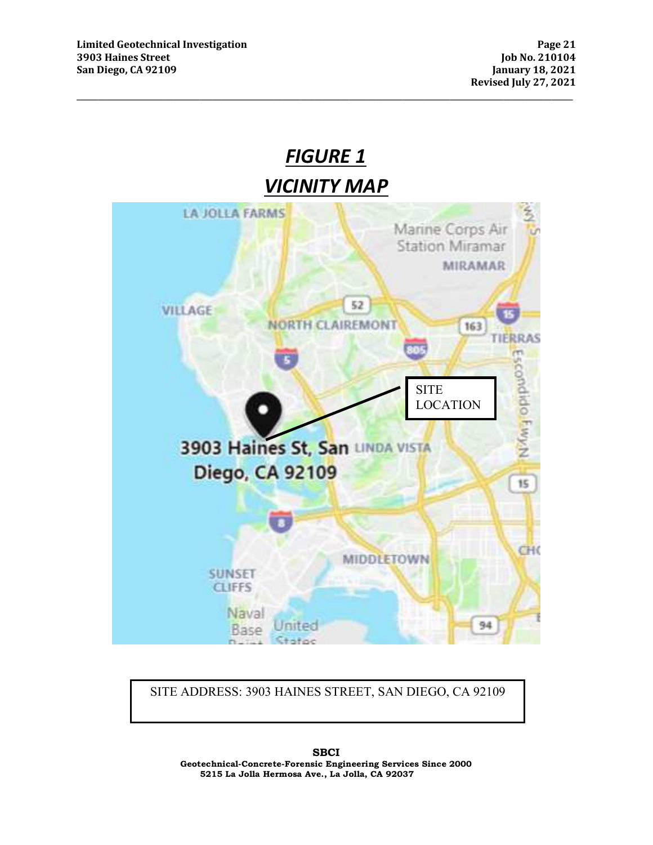

SITE ADDRESS: 3903 HAINES STREET, SAN DIEGO, CA 92109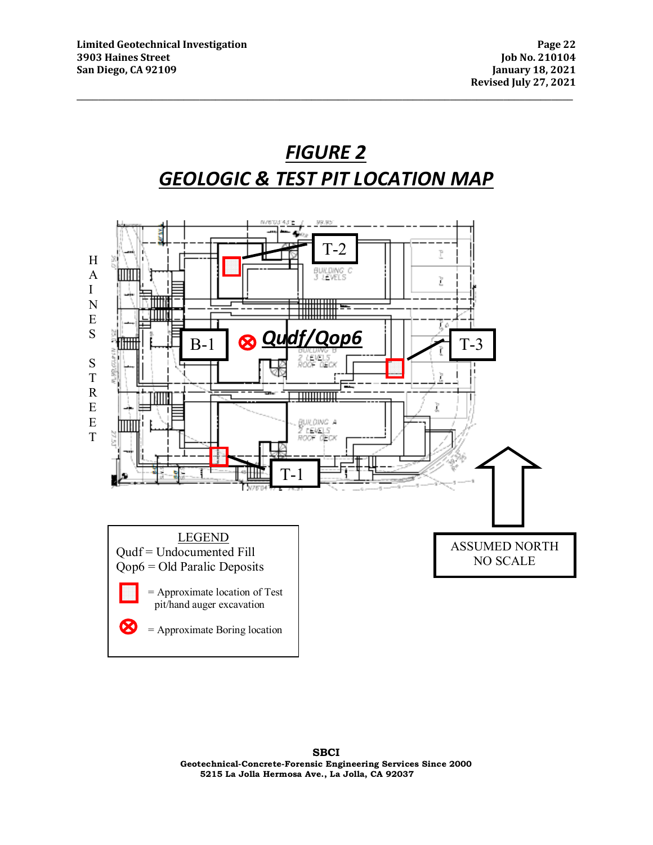

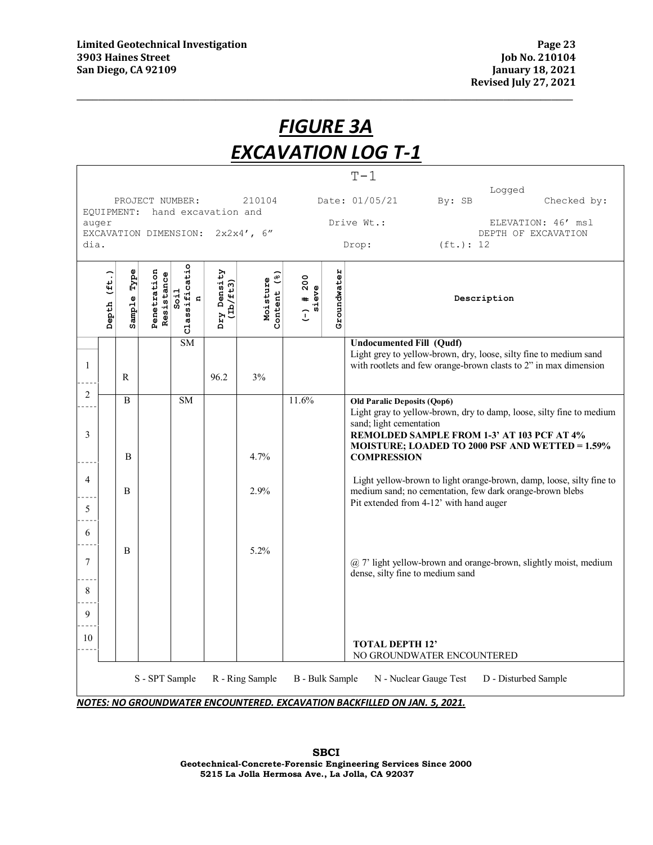|                                                   | <b>FIGURE 3A</b>                                                                                                             |                |                           |                                       |                         |                         |                                 |             |                                                                                                                                                                                                                                                              |
|---------------------------------------------------|------------------------------------------------------------------------------------------------------------------------------|----------------|---------------------------|---------------------------------------|-------------------------|-------------------------|---------------------------------|-------------|--------------------------------------------------------------------------------------------------------------------------------------------------------------------------------------------------------------------------------------------------------------|
|                                                   | <b>EXCAVATION LOG T-1</b>                                                                                                    |                |                           |                                       |                         |                         |                                 |             |                                                                                                                                                                                                                                                              |
|                                                   | $T-1$<br>Logged<br>210104<br>Date: 01/05/21<br>By: SB<br>Checked by:<br>PROJECT NUMBER:<br>hand excavation and<br>EQUIPMENT: |                |                           |                                       |                         |                         |                                 |             |                                                                                                                                                                                                                                                              |
| auger<br>EXCAVATION DIMENSION: 2x2x4', 6"<br>dia. |                                                                                                                              |                |                           |                                       |                         |                         |                                 |             | Drive Wt.:<br>ELEVATION: 46' msl<br>DEPTH OF EXCAVATION<br>(ft.): 12<br>Drop:                                                                                                                                                                                |
|                                                   | Depth (ft.)                                                                                                                  | Type<br>Sample | Penetration<br>Resistance | Classificatio<br>Soi1<br>$\mathbf{q}$ | Dry Density<br>(Lb/ft3) | Content (%)<br>Moisture | ) # $200$<br>sieve<br>$\hat{L}$ | Groundwater | Description                                                                                                                                                                                                                                                  |
| -1                                                |                                                                                                                              | R              |                           | <b>SM</b>                             | 96.2                    | 3%                      |                                 |             | <b>Undocumented Fill (Qudf)</b><br>Light grey to yellow-brown, dry, loose, silty fine to medium sand<br>with rootlets and few orange-brown clasts to 2" in max dimension                                                                                     |
| 2<br>3                                            |                                                                                                                              | B<br>B         |                           | <b>SM</b>                             |                         | 4.7%                    | 11.6%                           |             | <b>Old Paralic Deposits (Qop6)</b><br>Light gray to yellow-brown, dry to damp, loose, silty fine to medium<br>sand; light cementation<br>REMOLDED SAMPLE FROM 1-3' AT 103 PCF AT 4%<br>MOISTURE; LOADED TO 2000 PSF AND WETTED = 1.59%<br><b>COMPRESSION</b> |
| $\overline{4}$<br>5                               |                                                                                                                              | B              |                           |                                       |                         | 2.9%                    |                                 |             | Light yellow-brown to light orange-brown, damp, loose, silty fine to<br>medium sand; no cementation, few dark orange-brown blebs<br>Pit extended from 4-12' with hand auger                                                                                  |
| 6<br>7<br>8                                       |                                                                                                                              | B              |                           |                                       |                         | 5.2%                    |                                 |             | @ 7' light yellow-brown and orange-brown, slightly moist, medium<br>dense, silty fine to medium sand                                                                                                                                                         |
| 10                                                | 9<br><b>TOTAL DEPTH 12'</b><br>NO GROUNDWATER ENCOUNTERED                                                                    |                |                           |                                       |                         |                         |                                 |             |                                                                                                                                                                                                                                                              |
|                                                   | S - SPT Sample<br>R - Ring Sample<br>N - Nuclear Gauge Test<br><b>B</b> - Bulk Sample<br>D - Disturbed Sample                |                |                           |                                       |                         |                         |                                 |             |                                                                                                                                                                                                                                                              |

*NOTES: NO GROUNDWATER ENCOUNTERED. EXCAVATION BACKFILLED ON JAN. 5, 2021.*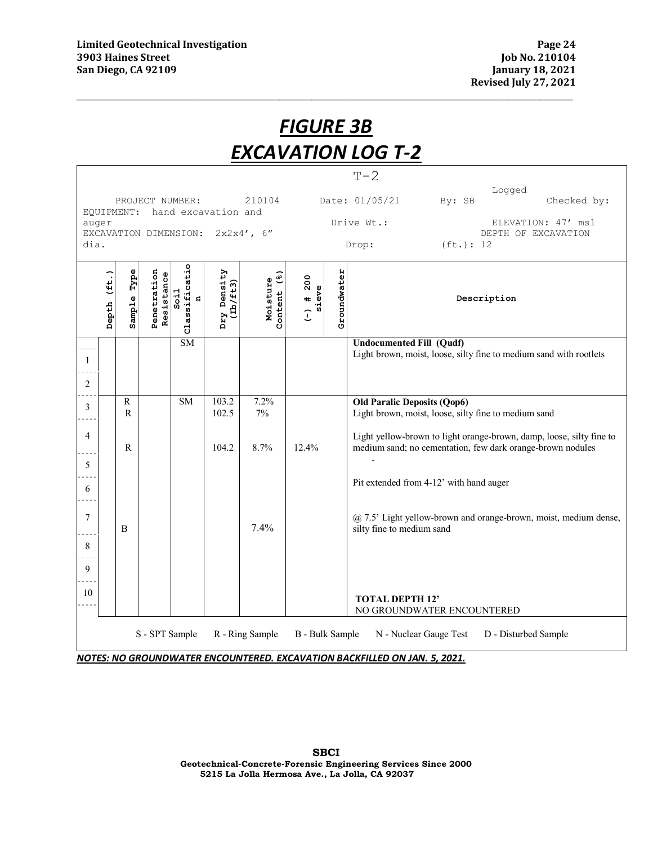|                                                                                        | <u>FIGURE 3B</u>                                                                                              |                   |                           |                                            |                         |                         |                      |             |                                                                                                                                    |
|----------------------------------------------------------------------------------------|---------------------------------------------------------------------------------------------------------------|-------------------|---------------------------|--------------------------------------------|-------------------------|-------------------------|----------------------|-------------|------------------------------------------------------------------------------------------------------------------------------------|
|                                                                                        | <b>EXCAVATION LOG T-2</b>                                                                                     |                   |                           |                                            |                         |                         |                      |             |                                                                                                                                    |
|                                                                                        |                                                                                                               |                   |                           |                                            |                         |                         |                      |             | $T-2$                                                                                                                              |
|                                                                                        |                                                                                                               |                   |                           | PROJECT NUMBER:                            |                         | 210104                  |                      |             | Logged<br>Date: 01/05/21<br>By: SB<br>Checked by:                                                                                  |
| hand excavation and<br>EQUIPMENT:<br>auger<br>EXCAVATION DIMENSION: 2x2x4', 6"<br>dia. |                                                                                                               |                   |                           |                                            |                         |                         |                      |             | Drive Wt.:<br>ELEVATION: 47' msl<br>DEPTH OF EXCAVATION<br>(ft.): 12<br>Drop:                                                      |
|                                                                                        | (上)<br>Depth                                                                                                  | Type<br>Sample    | Penetration<br>Resistance | sificatio<br>Soi1<br>$\mathbf{G}$<br>Class | Dry Density<br>(Lb/ft3) | Content (%)<br>Moisture | $(-)$ # 200<br>sieve | Groundwater | Description                                                                                                                        |
| 1<br>$\overline{2}$                                                                    |                                                                                                               |                   |                           | <b>SM</b>                                  |                         |                         |                      |             | <b>Undocumented Fill (Qudf)</b><br>Light brown, moist, loose, silty fine to medium sand with rootlets                              |
| 3                                                                                      |                                                                                                               | $\, {\bf R}$<br>R |                           | <b>SM</b>                                  | 103.2<br>102.5          | 7.2%<br>7%              |                      |             | <b>Old Paralic Deposits (Qop6)</b><br>Light brown, moist, loose, silty fine to medium sand                                         |
| $\overline{4}$<br>5                                                                    |                                                                                                               | R                 |                           |                                            | 104.2                   | 8.7%                    | 12.4%                |             | Light yellow-brown to light orange-brown, damp, loose, silty fine to<br>medium sand; no cementation, few dark orange-brown nodules |
| 6                                                                                      |                                                                                                               |                   |                           |                                            |                         |                         |                      |             | Pit extended from 4-12' with hand auger                                                                                            |
| 7<br>8<br>9                                                                            |                                                                                                               | B                 |                           |                                            |                         | 7.4%                    |                      |             | @ 7.5' Light yellow-brown and orange-brown, moist, medium dense,<br>silty fine to medium sand                                      |
| 10                                                                                     |                                                                                                               |                   |                           |                                            |                         |                         |                      |             | <b>TOTAL DEPTH 12'</b><br>NO GROUNDWATER ENCOUNTERED                                                                               |
|                                                                                        | S - SPT Sample<br>R - Ring Sample<br><b>B</b> - Bulk Sample<br>N - Nuclear Gauge Test<br>D - Disturbed Sample |                   |                           |                                            |                         |                         |                      |             |                                                                                                                                    |

*NOTES: NO GROUNDWATER ENCOUNTERED. EXCAVATION BACKFILLED ON JAN. 5, 2021.*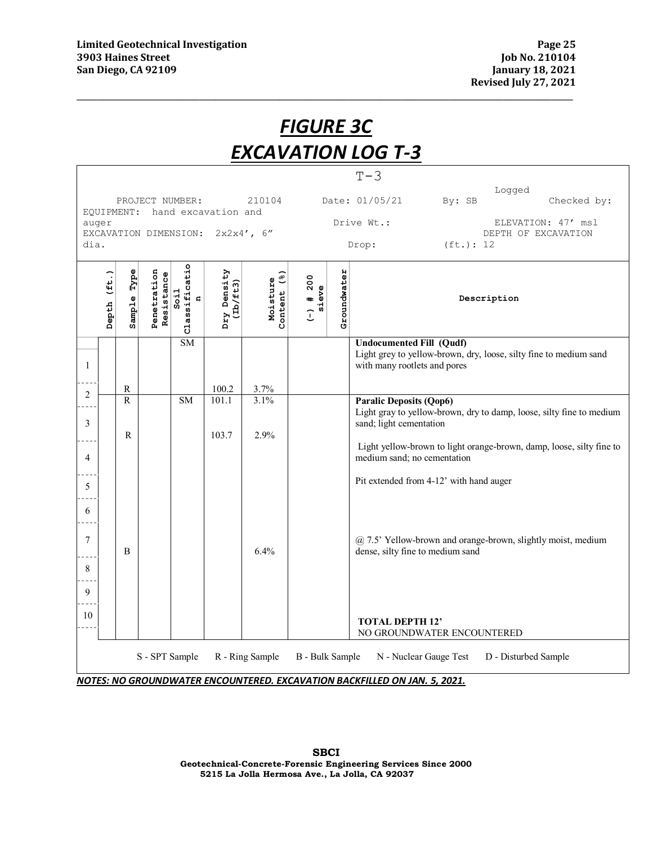|                             | <u>FIGURE 3C</u>                                               |                   |                           |                                             |                                  |                         |                      |             |                                                                                                                                                                                                                                          |
|-----------------------------|----------------------------------------------------------------|-------------------|---------------------------|---------------------------------------------|----------------------------------|-------------------------|----------------------|-------------|------------------------------------------------------------------------------------------------------------------------------------------------------------------------------------------------------------------------------------------|
|                             | <b>EXCAVATION LOG T-3</b>                                      |                   |                           |                                             |                                  |                         |                      |             |                                                                                                                                                                                                                                          |
|                             |                                                                |                   |                           |                                             |                                  |                         |                      |             | $T-3$<br>Logged                                                                                                                                                                                                                          |
|                             | PROJECT NUMBER:<br>210104<br>EOUIPMENT:<br>hand excavation and |                   |                           |                                             |                                  |                         |                      |             | Date: 01/05/21<br>By: SB<br>Checked by:                                                                                                                                                                                                  |
| auger                       |                                                                |                   |                           |                                             | EXCAVATION DIMENSION: 2x2x4', 6" |                         |                      |             | Drive Wt.:<br>ELEVATION: 47' msl<br>DEPTH OF EXCAVATION                                                                                                                                                                                  |
| (ft.): 12<br>dia.<br>Drop:  |                                                                |                   |                           |                                             |                                  |                         |                      |             |                                                                                                                                                                                                                                          |
|                             | Depth (ft.)                                                    | Type<br>Sample    | Penetration<br>Resistance | Classificatio<br>Soi1<br>$\mathbf{G}% _{t}$ | Dry Density<br>(Lb/ft3)          | Content (%)<br>Moisture | $(-)$ # 200<br>sieve | Groundwater | Description                                                                                                                                                                                                                              |
| 1                           |                                                                | R                 |                           | <b>SM</b>                                   | 100.2                            | 3.7%                    |                      |             | <b>Undocumented Fill (Qudf)</b><br>Light grey to yellow-brown, dry, loose, silty fine to medium sand<br>with many rootlets and pores                                                                                                     |
| $\overline{2}$<br>3<br>4    |                                                                | $\mathbf{R}$<br>R |                           | <b>SM</b>                                   | 101.1<br>103.7                   | 3.1%<br>2.9%            |                      |             | <b>Paralic Deposits (Qop6)</b><br>Light gray to yellow-brown, dry to damp, loose, silty fine to medium<br>sand; light cementation<br>Light yellow-brown to light orange-brown, damp, loose, silty fine to<br>medium sand; no cementation |
| 5<br>6<br>7<br>8<br>9<br>10 |                                                                | B                 |                           |                                             |                                  | 6.4%                    |                      |             | Pit extended from 4-12' with hand auger<br>@ 7.5' Yellow-brown and orange-brown, slightly moist, medium<br>dense, silty fine to medium sand<br><b>TOTAL DEPTH 12'</b><br>NO GROUNDWATER ENCOUNTERED                                      |
|                             |                                                                |                   |                           | S - SPT Sample                              |                                  | R - Ring Sample         | B - Bulk Sample      |             | N - Nuclear Gauge Test<br>D - Disturbed Sample                                                                                                                                                                                           |

*NOTES: NO GROUNDWATER ENCOUNTERED. EXCAVATION BACKFILLED ON JAN. 5, 2021.*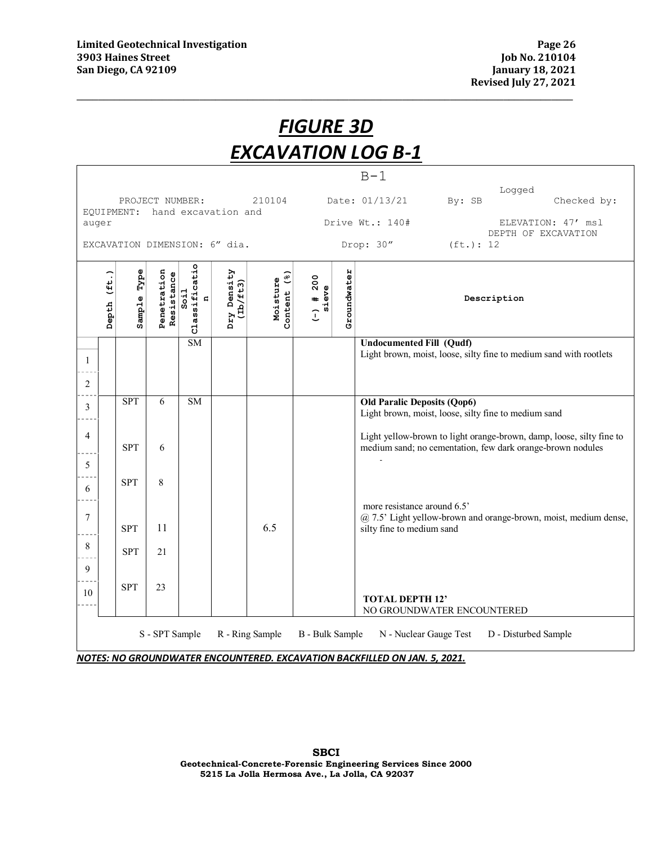|                                         | <b>FIGURE 3D</b> |                |                           |                                           |                         |                            |                      |             |                                                                                                                                    |
|-----------------------------------------|------------------|----------------|---------------------------|-------------------------------------------|-------------------------|----------------------------|----------------------|-------------|------------------------------------------------------------------------------------------------------------------------------------|
|                                         |                  |                |                           |                                           |                         |                            |                      |             | <b>EXCAVATION LOG B-1</b>                                                                                                          |
|                                         |                  |                |                           |                                           |                         |                            |                      |             | $B-1$                                                                                                                              |
|                                         |                  |                | PROJECT NUMBER:           |                                           |                         | 210104                     |                      |             | Logged<br>Date: 01/13/21<br>By: SB<br>Checked by:                                                                                  |
| EQUIPMENT: hand excavation and<br>auger |                  |                |                           |                                           |                         |                            |                      |             | Drive Wt.: 140#<br>ELEVATION: 47' msl                                                                                              |
| EXCAVATION DIMENSION: 6" dia.           |                  |                |                           |                                           |                         |                            |                      |             | DEPTH OF EXCAVATION<br>Drop: 30"<br>(ft.): 12                                                                                      |
|                                         | Depth (ft.)      | Type<br>Sample | Penetration<br>Resistance | o<br>Classificati<br>Soi1<br>$\mathbf{G}$ | Dry Density<br>(Dz/tt3) | (3)<br>Moisture<br>Content | $(-)$ # 200<br>sieve | Groundwater | Description                                                                                                                        |
| 1<br>$\boldsymbol{2}$                   |                  |                |                           | <b>SM</b>                                 |                         |                            |                      |             | <b>Undocumented Fill (Qudf)</b><br>Light brown, moist, loose, silty fine to medium sand with rootlets                              |
| 3                                       |                  | <b>SPT</b>     | 6                         | <b>SM</b>                                 |                         |                            |                      |             | <b>Old Paralic Deposits (Qop6)</b><br>Light brown, moist, loose, silty fine to medium sand                                         |
| 4<br>5                                  |                  | <b>SPT</b>     | 6                         |                                           |                         |                            |                      |             | Light yellow-brown to light orange-brown, damp, loose, silty fine to<br>medium sand; no cementation, few dark orange-brown nodules |
| 6                                       |                  | <b>SPT</b>     | 8                         |                                           |                         |                            |                      |             | more resistance around 6.5'                                                                                                        |
| $\boldsymbol{7}$                        |                  | <b>SPT</b>     | 11                        |                                           |                         | 6.5                        |                      |             | @ 7.5' Light yellow-brown and orange-brown, moist, medium dense,<br>silty fine to medium sand                                      |
| 8                                       |                  | <b>SPT</b>     | 21                        |                                           |                         |                            |                      |             |                                                                                                                                    |
| 9                                       |                  |                |                           |                                           |                         |                            |                      |             |                                                                                                                                    |
| 10                                      |                  | <b>SPT</b>     | 23                        |                                           |                         |                            |                      |             | <b>TOTAL DEPTH 12'</b><br>NO GROUNDWATER ENCOUNTERED                                                                               |

*NOTES: NO GROUNDWATER ENCOUNTERED. EXCAVATION BACKFILLED ON JAN. 5, 2021.* 

**SBCI Geotechnical-Concrete-Forensic Engineering Services Since 2000 5215 La Jolla Hermosa Ave., La Jolla, CA 92037**

S - SPT Sample R - Ring Sample B - Bulk Sample N - Nuclear Gauge Test D - Disturbed Sample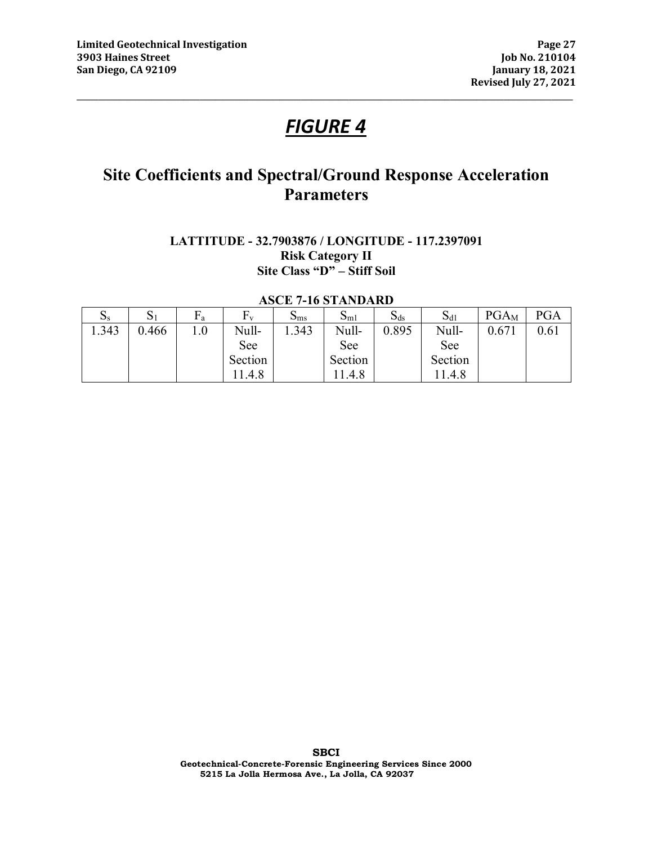## *FIGURE 4*

**\_\_\_\_\_\_\_\_\_\_\_\_\_\_\_\_\_\_\_\_\_\_\_\_\_\_\_\_\_\_\_\_\_\_\_\_\_\_\_\_\_\_\_\_\_\_\_\_\_\_\_\_\_\_\_\_\_\_\_\_\_\_\_\_\_\_\_\_\_\_\_\_\_\_\_\_\_\_\_\_\_\_\_\_\_\_\_\_\_\_\_\_\_** 

## **Site Coefficients and Spectral/Ground Response Acceleration Parameters**

## **LATTITUDE - 32.7903876 / LONGITUDE - 117.2397091 Risk Category II Site Class "D" – Stiff Soil**

#### **ASCE 7-16 STANDARD**

| $\mathbf{S}$ | $\mathrm{S}_1$ | Гa  | ${\rm F}_{\rm v}$ | $\mathbf{D} \text{ms}$ | $S_{m1}$ | $S_{ds}$ | $S_{d1}$ | $PGA_M$ | <b>PGA</b> |
|--------------|----------------|-----|-------------------|------------------------|----------|----------|----------|---------|------------|
| .343         | 0.466          | 1.0 | Null-             | .343                   | Null-    | 0.895    | Null-    | 0.671   | 0.61       |
|              |                |     | See               |                        | See      |          | See      |         |            |
|              |                |     | Section           |                        | Section  |          | Section  |         |            |
|              |                |     | 11.4.8            |                        | 11.4.8   |          | .4.8     |         |            |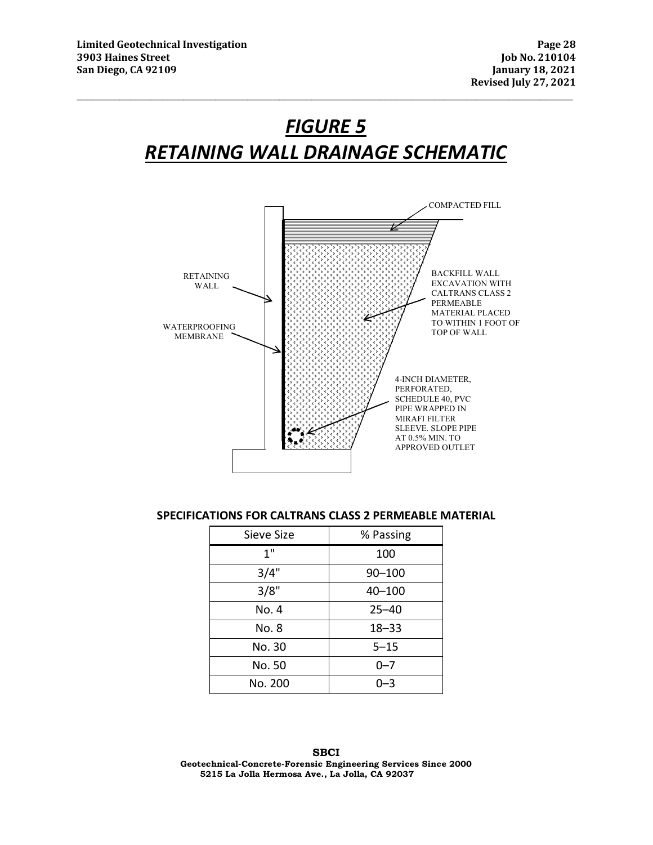# *FIGURE 5 RETAINING WALL DRAINAGE SCHEMATIC*

**\_\_\_\_\_\_\_\_\_\_\_\_\_\_\_\_\_\_\_\_\_\_\_\_\_\_\_\_\_\_\_\_\_\_\_\_\_\_\_\_\_\_\_\_\_\_\_\_\_\_\_\_\_\_\_\_\_\_\_\_\_\_\_\_\_\_\_\_\_\_\_\_\_\_\_\_\_\_\_\_\_\_\_\_\_\_\_\_\_\_\_\_\_** 



#### **SPECIFICATIONS FOR CALTRANS CLASS 2 PERMEABLE MATERIAL**

| Sieve Size | % Passing  |  |  |  |
|------------|------------|--|--|--|
| 1"         | 100        |  |  |  |
| 3/4"       | $90 - 100$ |  |  |  |
| 3/8"       | 40-100     |  |  |  |
| No. 4      | $25 - 40$  |  |  |  |
| No. 8      | $18 - 33$  |  |  |  |
| No. 30     | $5 - 15$   |  |  |  |
| No. 50     | $0 - 7$    |  |  |  |
| No. 200    | $0 - 3$    |  |  |  |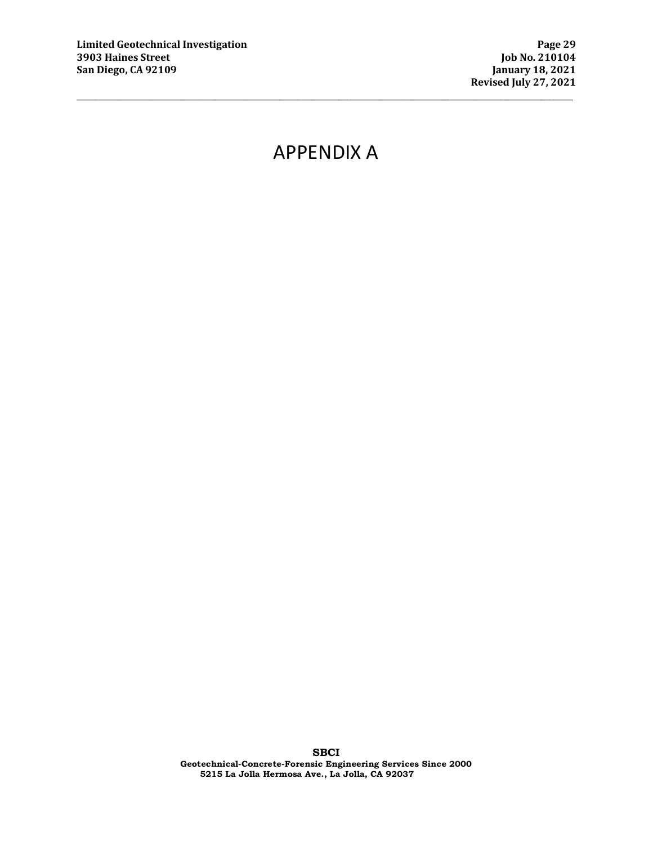## APPENDIX A

**\_\_\_\_\_\_\_\_\_\_\_\_\_\_\_\_\_\_\_\_\_\_\_\_\_\_\_\_\_\_\_\_\_\_\_\_\_\_\_\_\_\_\_\_\_\_\_\_\_\_\_\_\_\_\_\_\_\_\_\_\_\_\_\_\_\_\_\_\_\_\_\_\_\_\_\_\_\_\_\_\_\_\_\_\_\_\_\_\_\_\_\_\_**